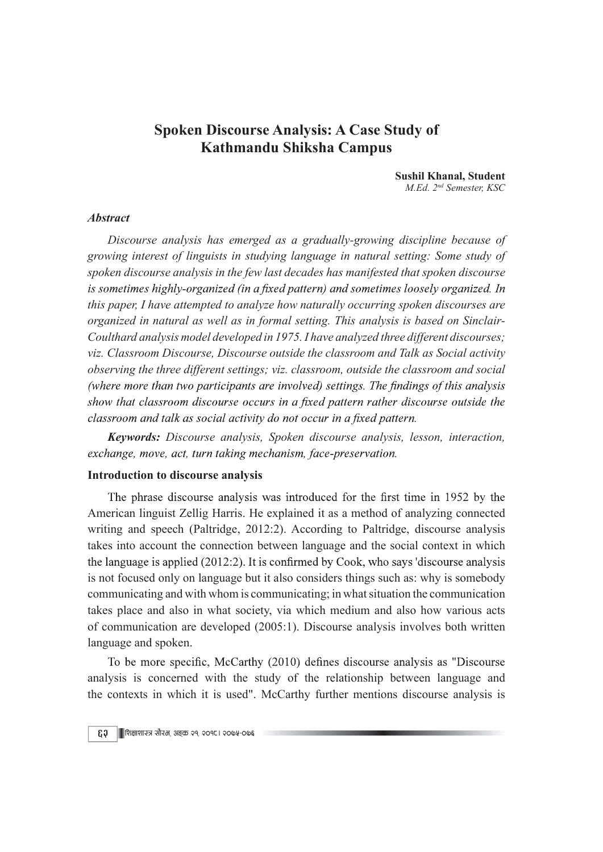# Spoken Discourse Analysis: A Case Study of Kathmandu Shiksha Campus

Sushil Khanal, Student M.Ed. 2nd Semester, KSC

### Abstract

Discourse analysis has emerged as a gradually-growing discipline because of growing interest of linguists in studying language in natural setting: Some study of spoken discourse analysis in the few last decades has manifested that spoken discourse is sometimes highly-organized (in a fixed pattern) and sometimes loosely organized. In this paper, I have attempted to analyze how naturally occurring spoken discourses are organized in natural as well as in formal setting. This analysis is based on Sinclair-Coulthard analysis model developed in 1975. I have analyzed three different discourses; viz. Classroom Discourse, Discourse outside the classroom and Talk as Social activity observing the three different settings; viz. classroom, outside the classroom and social (where more than two participants are involved) settings. The findings of this analysis show that classroom discourse occurs in a fixed pattern rather discourse outside the classroom and talk as social activity do not occur in a fixed pattern.

Keywords: Discourse analysis, Spoken discourse analysis, lesson, interaction, exchange, move, act, turn taking mechanism, face-preservation.

### Introduction to discourse analysis

The phrase discourse analysis was introduced for the first time in 1952 by the American linguist Zellig Harris. He explained it as a method of analyzing connected writing and speech (Paltridge, 2012:2). According to Paltridge, discourse analysis takes into account the connection between language and the social context in which the language is applied (2012:2). It is confirmed by Cook, who says 'discourse analysis is not focused only on language but it also considers things such as: why is somebody communicating and with whom is communicating; in what situation the communication takes place and also in what society, via which medium and also how various acts of communication are developed (2005:1). Discourse analysis involves both written language and spoken.

To be more specific, McCarthy (2010) defines discourse analysis as "Discourse" analysis is concerned with the study of the relationship between language and the contexts in which it is used". McCarthy further mentions discourse analysis is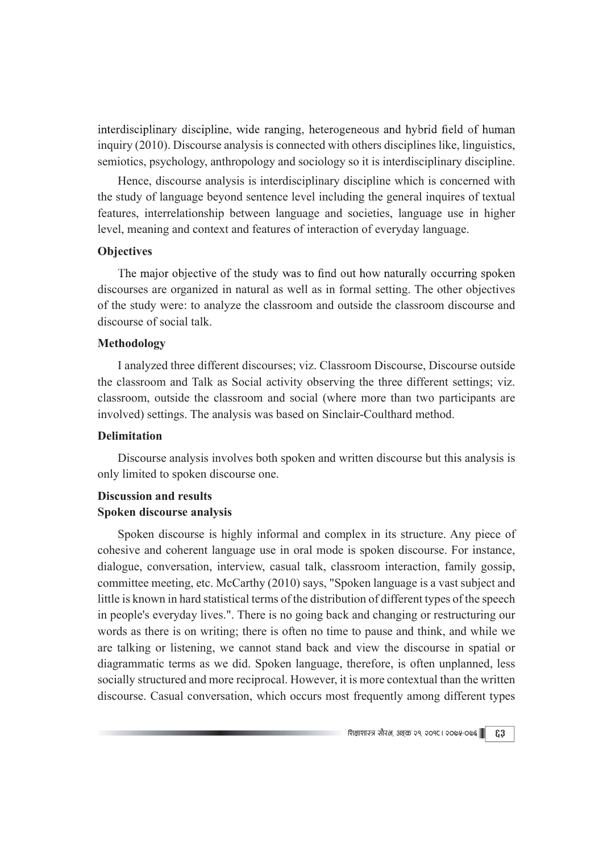interdisciplinary discipline, wide ranging, heterogeneous and hybrid field of human inquiry (2010). Discourse analysis is connected with others disciplines like, linguistics, semiotics, psychology, anthropology and sociology so it is interdisciplinary discipline.

Hence, discourse analysis is interdisciplinary discipline which is concerned with the study of language beyond sentence level including the general inquires of textual features, interrelationship between language and societies, language use in higher level, meaning and context and features of interaction of everyday language.

# **Objectives**

The major objective of the study was to find out how naturally occurring spoken discourses are organized in natural as well as in formal setting. The other objectives of the study were: to analyze the classroom and outside the classroom discourse and discourse of social talk.

#### Methodology

I analyzed three different discourses; viz. Classroom Discourse, Discourse outside the classroom and Talk as Social activity observing the three different settings; viz. classroom, outside the classroom and social (where more than two participants are involved) settings. The analysis was based on Sinclair-Coulthard method.

### Delimitation

Discourse analysis involves both spoken and written discourse but this analysis is only limited to spoken discourse one.

# Discussion and results Spoken discourse analysis

Spoken discourse is highly informal and complex in its structure. Any piece of cohesive and coherent language use in oral mode is spoken discourse. For instance, dialogue, conversation, interview, casual talk, classroom interaction, family gossip, committee meeting, etc. McCarthy (2010) says, "Spoken language is a vast subject and little is known in hard statistical terms of the distribution of different types of the speech in people's everyday lives.". There is no going back and changing or restructuring our words as there is on writing; there is often no time to pause and think, and while we are talking or listening, we cannot stand back and view the discourse in spatial or diagrammatic terms as we did. Spoken language, therefore, is often unplanned, less socially structured and more reciprocal. However, it is more contextual than the written discourse. Casual conversation, which occurs most frequently among different types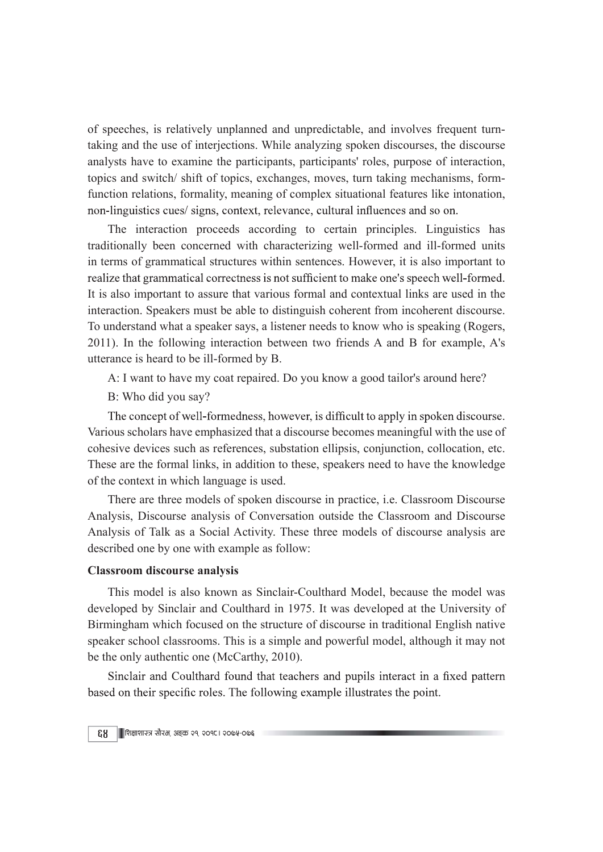of speeches, is relatively unplanned and unpredictable, and involves frequent turntaking and the use of interjections. While analyzing spoken discourses, the discourse analysts have to examine the participants, participants' roles, purpose of interaction, topics and switch/ shift of topics, exchanges, moves, turn taking mechanisms, formfunction relations, formality, meaning of complex situational features like intonation, non-linguistics cues/signs, context, relevance, cultural influences and so on.

The interaction proceeds according to certain principles. Linguistics has traditionally been concerned with characterizing well-formed and ill-formed units in terms of grammatical structures within sentences. However, it is also important to realize that grammatical correctness is not sufficient to make one's speech well-formed. It is also important to assure that various formal and contextual links are used in the interaction. Speakers must be able to distinguish coherent from incoherent discourse. To understand what a speaker says, a listener needs to know who is speaking (Rogers, 2011). In the following interaction between two friends A and B for example, A's utterance is heard to be ill-formed by B.

A: I want to have my coat repaired. Do you know a good tailor's around here?

B: Who did you say?

The concept of well-formedness, however, is difficult to apply in spoken discourse. Various scholars have emphasized that a discourse becomes meaningful with the use of cohesive devices such as references, substation ellipsis, conjunction, collocation, etc. These are the formal links, in addition to these, speakers need to have the knowledge of the context in which language is used.

There are three models of spoken discourse in practice, i.e. Classroom Discourse Analysis, Discourse analysis of Conversation outside the Classroom and Discourse Analysis of Talk as a Social Activity. These three models of discourse analysis are described one by one with example as follow:

### Classroom discourse analysis

This model is also known as Sinclair-Coulthard Model, because the model was developed by Sinclair and Coulthard in 1975. It was developed at the University of Birmingham which focused on the structure of discourse in traditional English native speaker school classrooms. This is a simple and powerful model, although it may not be the only authentic one (McCarthy, 2010).

Sinclair and Coulthard found that teachers and pupils interact in a fixed pattern based on their specific roles. The following example illustrates the point.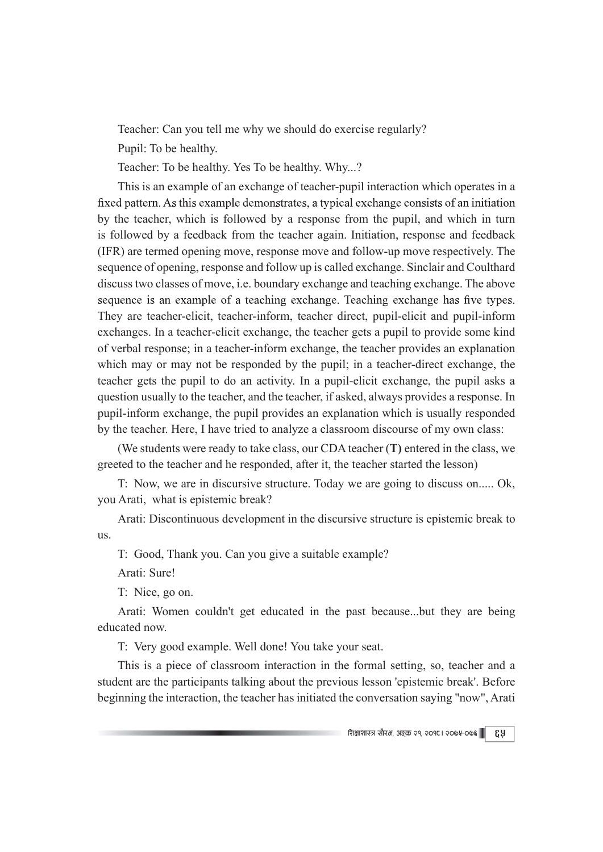Teacher: Can you tell me why we should do exercise regularly?

Pupil: To be healthy.

Teacher: To be healthy. Yes To be healthy. Why...?

This is an example of an exchange of teacher-pupil interaction which operates in a fixed pattern. As this example demonstrates, a typical exchange consists of an initiation by the teacher, which is followed by a response from the pupil, and which in turn is followed by a feedback from the teacher again. Initiation, response and feedback (IFR) are termed opening move, response move and follow-up move respectively. The sequence of opening, response and follow up is called exchange. Sinclair and Coulthard discuss two classes of move, i.e. boundary exchange and teaching exchange. The above sequence is an example of a teaching exchange. Teaching exchange has five types. They are teacher-elicit, teacher-inform, teacher direct, pupil-elicit and pupil-inform exchanges. In a teacher-elicit exchange, the teacher gets a pupil to provide some kind of verbal response; in a teacher-inform exchange, the teacher provides an explanation which may or may not be responded by the pupil; in a teacher-direct exchange, the teacher gets the pupil to do an activity. In a pupil-elicit exchange, the pupil asks a question usually to the teacher, and the teacher, if asked, always provides a response. In pupil-inform exchange, the pupil provides an explanation which is usually responded by the teacher. Here, I have tried to analyze a classroom discourse of my own class:

(We students were ready to take class, our CDA teacher (T) entered in the class, we greeted to the teacher and he responded, after it, the teacher started the lesson)

T: Now, we are in discursive structure. Today we are going to discuss on..... Ok, you Arati, what is epistemic break?

Arati: Discontinuous development in the discursive structure is epistemic break to us.

T: Good, Thank you. Can you give a suitable example?

Arati: Sure!

T: Nice, go on.

Arati: Women couldn't get educated in the past because...but they are being educated now.

T: Very good example. Well done! You take your seat.

This is a piece of classroom interaction in the formal setting, so, teacher and a student are the participants talking about the previous lesson 'epistemic break'. Before beginning the interaction, the teacher has initiated the conversation saying "now", Arati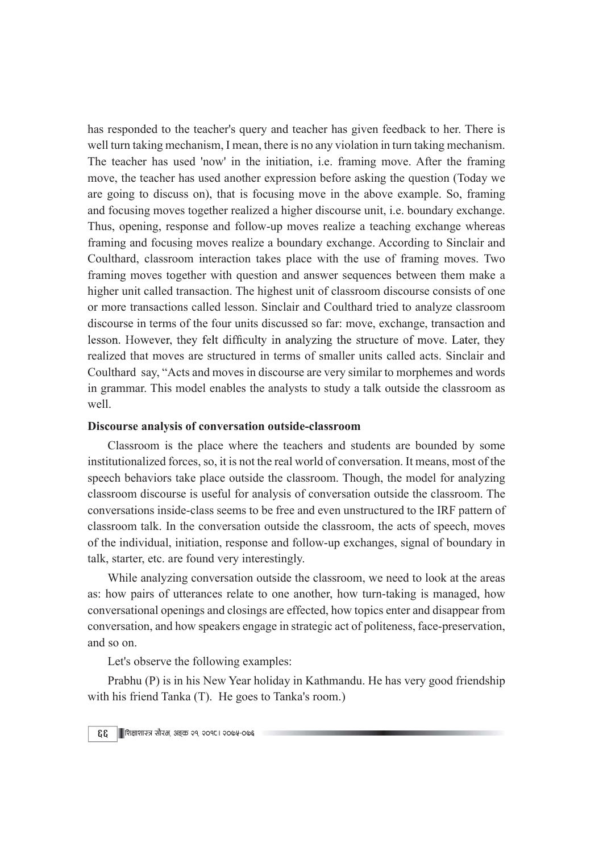has responded to the teacher's query and teacher has given feedback to her. There is well turn taking mechanism, I mean, there is no any violation in turn taking mechanism. The teacher has used 'now' in the initiation, i.e. framing move. After the framing move, the teacher has used another expression before asking the question (Today we are going to discuss on), that is focusing move in the above example. So, framing and focusing moves together realized a higher discourse unit, i.e. boundary exchange. Thus, opening, response and follow-up moves realize a teaching exchange whereas framing and focusing moves realize a boundary exchange. According to Sinclair and Coulthard, classroom interaction takes place with the use of framing moves. Two framing moves together with question and answer sequences between them make a higher unit called transaction. The highest unit of classroom discourse consists of one or more transactions called lesson. Sinclair and Coulthard tried to analyze classroom discourse in terms of the four units discussed so far: move, exchange, transaction and lesson. However, they felt difficulty in analyzing the structure of move. Later, they realized that moves are structured in terms of smaller units called acts. Sinclair and Coulthard say, "Acts and moves in discourse are very similar to morphemes and words in grammar. This model enables the analysts to study a talk outside the classroom as well.

## Discourse analysis of conversation outside-classroom

Classroom is the place where the teachers and students are bounded by some institutionalized forces, so, it is not the real world of conversation. It means, most of the speech behaviors take place outside the classroom. Though, the model for analyzing classroom discourse is useful for analysis of conversation outside the classroom. The conversations inside-class seems to be free and even unstructured to the IRF pattern of classroom talk. In the conversation outside the classroom, the acts of speech, moves of the individual, initiation, response and follow-up exchanges, signal of boundary in talk, starter, etc. are found very interestingly.

While analyzing conversation outside the classroom, we need to look at the areas as: how pairs of utterances relate to one another, how turn-taking is managed, how conversational openings and closings are effected, how topics enter and disappear from conversation, and how speakers engage in strategic act of politeness, face-preservation, and so on.

Let's observe the following examples:

Prabhu (P) is in his New Year holiday in Kathmandu. He has very good friendship with his friend Tanka (T). He goes to Tanka's room.)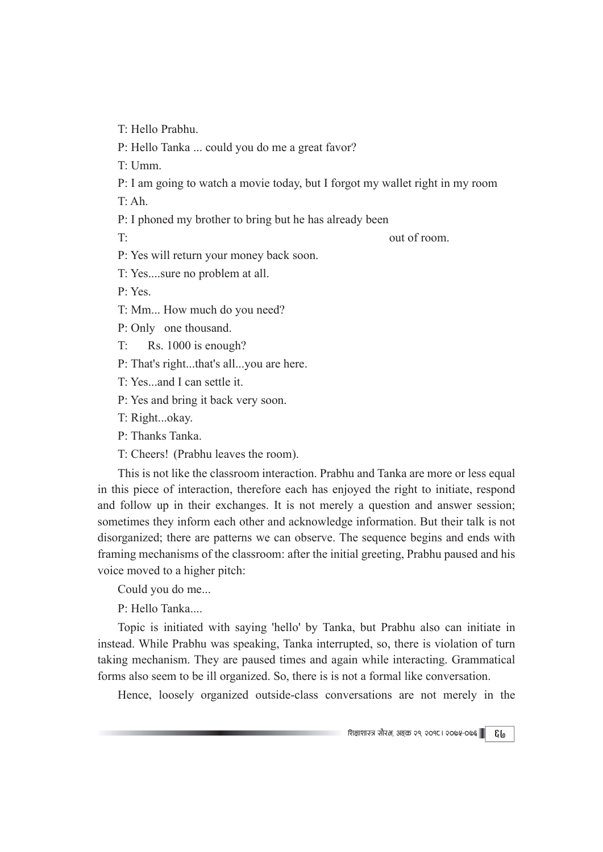T: Hello Prabhu.

P: Hello Tanka ... could you do me a great favor?

T: Umm.

P: I am going to watch a movie today, but I forgot my wallet right in my room

T: Ah.

P: I phoned my brother to bring but he has already been

T: out of room.

P: Yes will return your money back soon.

T: Yes....sure no problem at all.

P: Yes.

T: Mm... How much do you need?

P: Only one thousand.

T: Rs. 1000 is enough?

P: That's right...that's all...you are here.

T: Yes...and I can settle it.

P: Yes and bring it back very soon.

T: Right...okay.

P: Thanks Tanka.

T: Cheers! (Prabhu leaves the room).

This is not like the classroom interaction. Prabhu and Tanka are more or less equal in this piece of interaction, therefore each has enjoyed the right to initiate, respond and follow up in their exchanges. It is not merely a question and answer session; sometimes they inform each other and acknowledge information. But their talk is not disorganized; there are patterns we can observe. The sequence begins and ends with framing mechanisms of the classroom: after the initial greeting, Prabhu paused and his voice moved to a higher pitch:

Could you do me...

P: Hello Tanka....

Topic is initiated with saying 'hello' by Tanka, but Prabhu also can initiate in instead. While Prabhu was speaking, Tanka interrupted, so, there is violation of turn taking mechanism. They are paused times and again while interacting. Grammatical forms also seem to be ill organized. So, there is is not a formal like conversation.

Hence, loosely organized outside-class conversations are not merely in the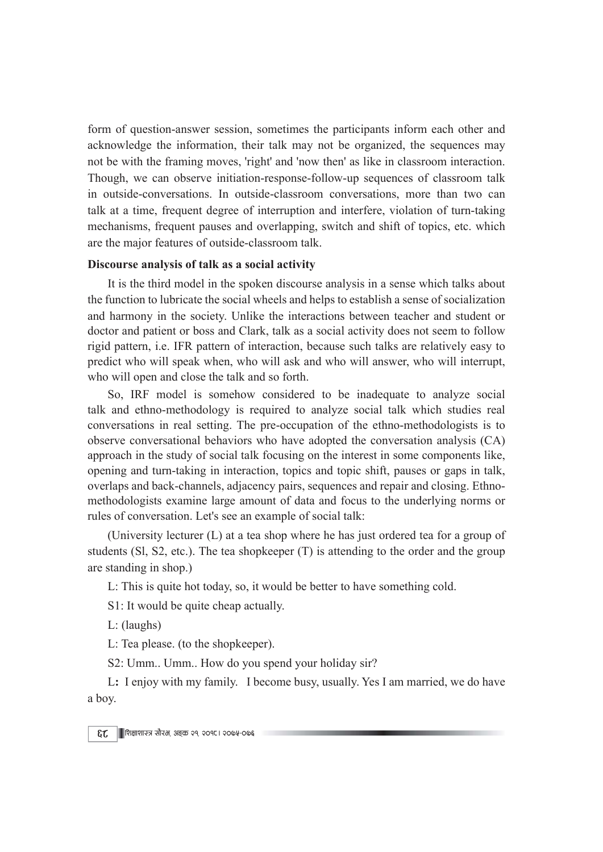form of question-answer session, sometimes the participants inform each other and acknowledge the information, their talk may not be organized, the sequences may not be with the framing moves, 'right' and 'now then' as like in classroom interaction. Though, we can observe initiation-response-follow-up sequences of classroom talk in outside-conversations. In outside-classroom conversations, more than two can talk at a time, frequent degree of interruption and interfere, violation of turn-taking mechanisms, frequent pauses and overlapping, switch and shift of topics, etc. which are the major features of outside-classroom talk.

### Discourse analysis of talk as a social activity

It is the third model in the spoken discourse analysis in a sense which talks about the function to lubricate the social wheels and helps to establish a sense of socialization and harmony in the society. Unlike the interactions between teacher and student or doctor and patient or boss and Clark, talk as a social activity does not seem to follow rigid pattern, i.e. IFR pattern of interaction, because such talks are relatively easy to predict who will speak when, who will ask and who will answer, who will interrupt, who will open and close the talk and so forth.

So, IRF model is somehow considered to be inadequate to analyze social talk and ethno-methodology is required to analyze social talk which studies real conversations in real setting. The pre-occupation of the ethno-methodologists is to observe conversational behaviors who have adopted the conversation analysis (CA) approach in the study of social talk focusing on the interest in some components like, opening and turn-taking in interaction, topics and topic shift, pauses or gaps in talk, overlaps and back-channels, adjacency pairs, sequences and repair and closing. Ethnomethodologists examine large amount of data and focus to the underlying norms or rules of conversation. Let's see an example of social talk:

(University lecturer (L) at a tea shop where he has just ordered tea for a group of students (Sl, S2, etc.). The tea shopkeeper (T) is attending to the order and the group are standing in shop.)

L: This is quite hot today, so, it would be better to have something cold.

S1: It would be quite cheap actually.

L: (laughs)

L: Tea please. (to the shopkeeper).

S2: Umm.. Umm.. How do you spend your holiday sir?

L: I enjoy with my family. I become busy, usually. Yes I am married, we do have a boy.